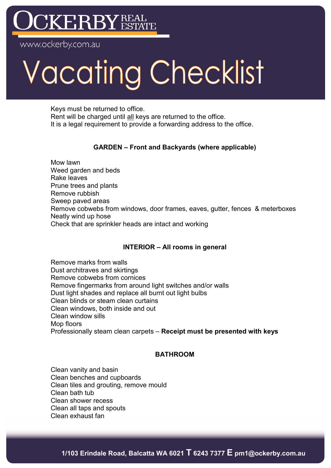## KERBY

w.ockerby.com.au

# Vacating Checklist

Keys must be returned to office. Rent will be charged until all keys are returned to the office. It is a legal requirement to provide a forwarding address to the office.

#### **GARDEN – Front and Backyards (where applicable)**

Mow lawn Weed garden and beds Rake leaves Prune trees and plants Remove rubbish Sweep paved areas Remove cobwebs from windows, door frames, eaves, gutter, fences & meterboxes Neatly wind up hose Check that are sprinkler heads are intact and working

#### **INTERIOR – All rooms in general**

Remove marks from walls Dust architraves and skirtings Remove cobwebs from cornices Remove fingermarks from around light switches and/or walls Dust light shades and replace all burnt out light bulbs Clean blinds or steam clean curtains Clean windows, both inside and out Clean window sills Mop floors Professionally steam clean carpets – **Receipt must be presented with keys**

#### **BATHROOM**

Clean vanity and basin Clean benches and cupboards Clean tiles and grouting, remove mould Clean bath tub Clean shower recess Clean all taps and spouts Clean exhaust fan

**1/103 Erindale Road, Balcatta WA 6021 T 6243 7377 E pm1@ockerby.com.au**